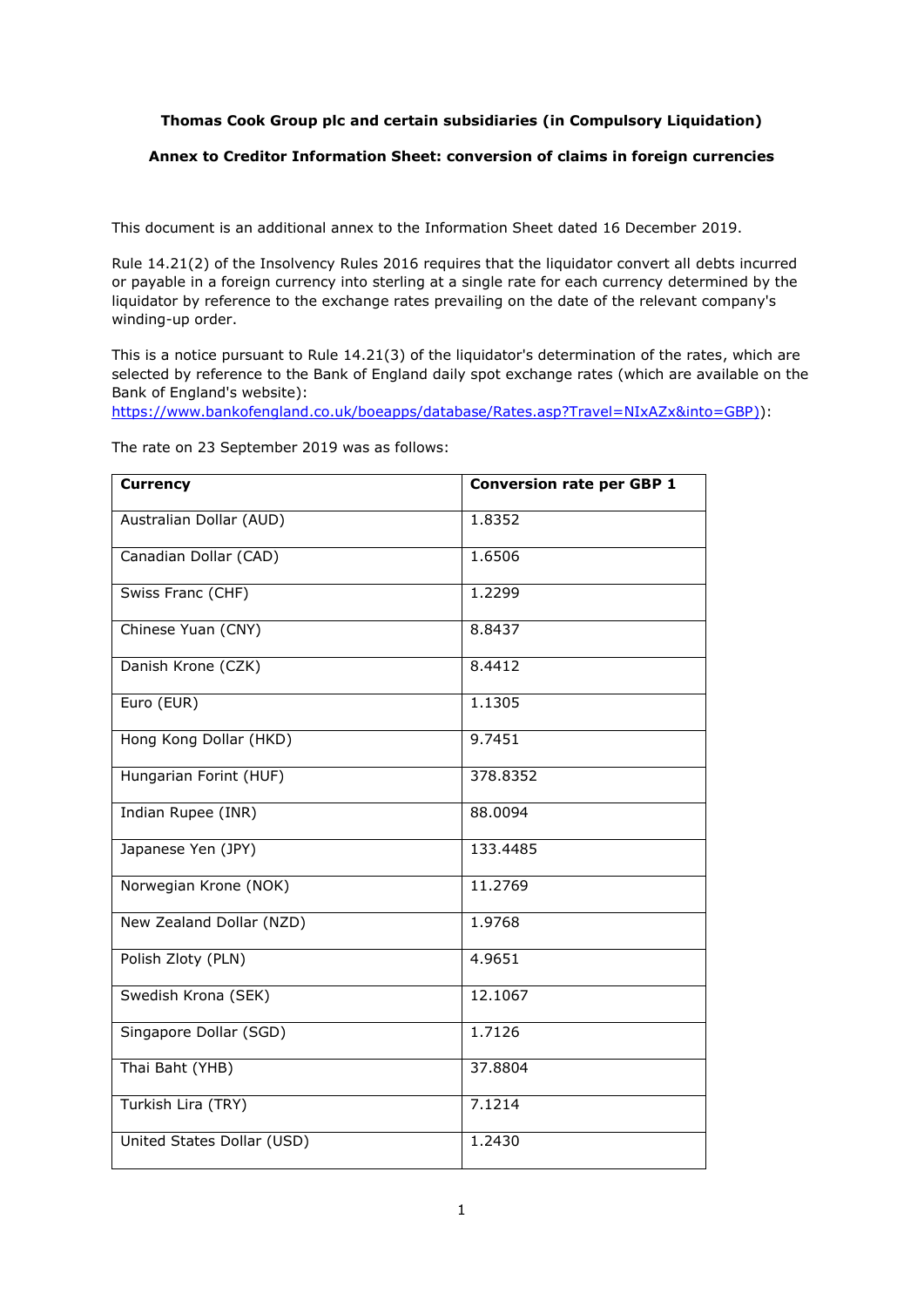## **Thomas Cook Group plc and certain subsidiaries (in Compulsory Liquidation)**

## **Annex to Creditor Information Sheet: conversion of claims in foreign currencies**

This document is an additional annex to the Information Sheet dated 16 December 2019.

Rule 14.21(2) of the Insolvency Rules 2016 requires that the liquidator convert all debts incurred or payable in a foreign currency into sterling at a single rate for each currency determined by the liquidator by reference to the exchange rates prevailing on the date of the relevant company's winding-up order.

This is a notice pursuant to Rule 14.21(3) of the liquidator's determination of the rates, which are selected by reference to the Bank of England daily spot exchange rates (which are available on the Bank of England's website):

https://www.bankofengland.co.uk/boeapps/database/Rates.asp?Travel=NIxAZx&into=GBP)):

| <b>Currency</b>            | <b>Conversion rate per GBP 1</b> |
|----------------------------|----------------------------------|
| Australian Dollar (AUD)    | 1.8352                           |
| Canadian Dollar (CAD)      | 1.6506                           |
| Swiss Franc (CHF)          | 1.2299                           |
| Chinese Yuan (CNY)         | 8.8437                           |
| Danish Krone (CZK)         | 8.4412                           |
| Euro (EUR)                 | 1.1305                           |
| Hong Kong Dollar (HKD)     | 9.7451                           |
| Hungarian Forint (HUF)     | 378.8352                         |
| Indian Rupee (INR)         | 88.0094                          |
| Japanese Yen (JPY)         | 133.4485                         |
| Norwegian Krone (NOK)      | 11.2769                          |
| New Zealand Dollar (NZD)   | 1.9768                           |
| Polish Zloty (PLN)         | 4.9651                           |
| Swedish Krona (SEK)        | 12.1067                          |
| Singapore Dollar (SGD)     | 1.7126                           |
| Thai Baht (YHB)            | 37.8804                          |
| Turkish Lira (TRY)         | 7.1214                           |
| United States Dollar (USD) | 1.2430                           |

The rate on 23 September 2019 was as follows: